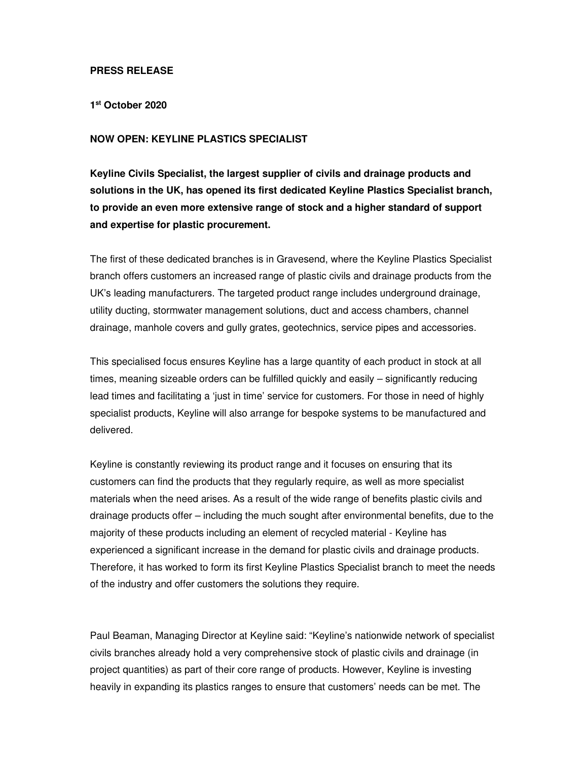## **PRESS RELEASE**

**1 st October 2020** 

## **NOW OPEN: KEYLINE PLASTICS SPECIALIST**

**Keyline Civils Specialist, the largest supplier of civils and drainage products and solutions in the UK, has opened its first dedicated Keyline Plastics Specialist branch, to provide an even more extensive range of stock and a higher standard of support and expertise for plastic procurement.** 

The first of these dedicated branches is in Gravesend, where the Keyline Plastics Specialist branch offers customers an increased range of plastic civils and drainage products from the UK's leading manufacturers. The targeted product range includes underground drainage, utility ducting, stormwater management solutions, duct and access chambers, channel drainage, manhole covers and gully grates, geotechnics, service pipes and accessories.

This specialised focus ensures Keyline has a large quantity of each product in stock at all times, meaning sizeable orders can be fulfilled quickly and easily – significantly reducing lead times and facilitating a 'just in time' service for customers. For those in need of highly specialist products, Keyline will also arrange for bespoke systems to be manufactured and delivered.

Keyline is constantly reviewing its product range and it focuses on ensuring that its customers can find the products that they regularly require, as well as more specialist materials when the need arises. As a result of the wide range of benefits plastic civils and drainage products offer – including the much sought after environmental benefits, due to the majority of these products including an element of recycled material - Keyline has experienced a significant increase in the demand for plastic civils and drainage products. Therefore, it has worked to form its first Keyline Plastics Specialist branch to meet the needs of the industry and offer customers the solutions they require.

Paul Beaman, Managing Director at Keyline said: "Keyline's nationwide network of specialist civils branches already hold a very comprehensive stock of plastic civils and drainage (in project quantities) as part of their core range of products. However, Keyline is investing heavily in expanding its plastics ranges to ensure that customers' needs can be met. The